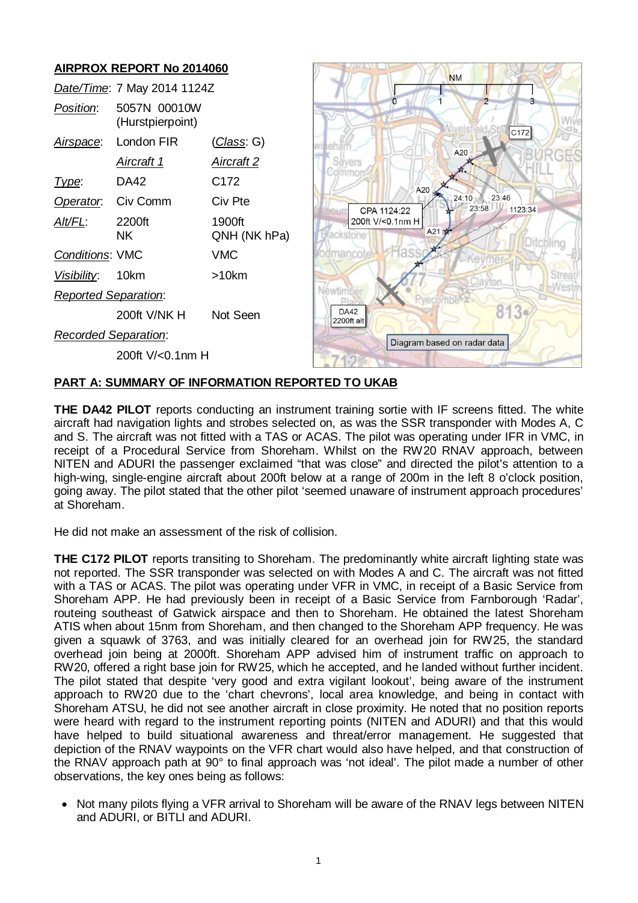# **AIRPROX REPORT No 2014060**

|                             | Date/Time: 7 May 2014 1124Z      |                        |  |
|-----------------------------|----------------------------------|------------------------|--|
| Position:                   | 5057N 00010W<br>(Hurstpierpoint) |                        |  |
| Airspace:                   | London FIR                       | (Class: G)             |  |
|                             | Aircraft 1                       | Aircraft 2             |  |
| Type:                       | DA42                             | C172                   |  |
| Operator. Civ Comm          |                                  | Civ Pte                |  |
| Alt/FL:                     | 2200ft<br>NK.                    | 1900ft<br>QNH (NK hPa) |  |
| <b>Conditions: VMC</b>      |                                  | VMC                    |  |
| Visibility: 10km            |                                  | >10km                  |  |
| <b>Reported Separation:</b> |                                  |                        |  |
|                             | 200ft V/NK H                     | Not Seen               |  |
| Recorded Separation:        |                                  |                        |  |
|                             | 200ft V/<0.1nm H                 |                        |  |



# **PART A: SUMMARY OF INFORMATION REPORTED TO UKAB**

**THE DA42 PILOT** reports conducting an instrument training sortie with IF screens fitted. The white aircraft had navigation lights and strobes selected on, as was the SSR transponder with Modes A, C and S. The aircraft was not fitted with a TAS or ACAS. The pilot was operating under IFR in VMC, in receipt of a Procedural Service from Shoreham. Whilst on the RW20 RNAV approach, between NITEN and ADURI the passenger exclaimed "that was close" and directed the pilot's attention to a high-wing, single-engine aircraft about 200ft below at a range of 200m in the left 8 o'clock position, going away. The pilot stated that the other pilot 'seemed unaware of instrument approach procedures' at Shoreham.

He did not make an assessment of the risk of collision.

**THE C172 PILOT** reports transiting to Shoreham. The predominantly white aircraft lighting state was not reported. The SSR transponder was selected on with Modes A and C. The aircraft was not fitted with a TAS or ACAS. The pilot was operating under VFR in VMC, in receipt of a Basic Service from Shoreham APP. He had previously been in receipt of a Basic Service from Farnborough 'Radar', routeing southeast of Gatwick airspace and then to Shoreham. He obtained the latest Shoreham ATIS when about 15nm from Shoreham, and then changed to the Shoreham APP frequency. He was given a squawk of 3763, and was initially cleared for an overhead join for RW25, the standard overhead join being at 2000ft. Shoreham APP advised him of instrument traffic on approach to RW20, offered a right base join for RW25, which he accepted, and he landed without further incident. The pilot stated that despite 'very good and extra vigilant lookout', being aware of the instrument approach to RW20 due to the 'chart chevrons', local area knowledge, and being in contact with Shoreham ATSU, he did not see another aircraft in close proximity. He noted that no position reports were heard with regard to the instrument reporting points (NITEN and ADURI) and that this would have helped to build situational awareness and threat/error management. He suggested that depiction of the RNAV waypoints on the VFR chart would also have helped, and that construction of the RNAV approach path at 90° to final approach was 'not ideal'. The pilot made a number of other observations, the key ones being as follows:

• Not many pilots flying a VFR arrival to Shoreham will be aware of the RNAV legs between NITEN and ADURI, or BITLI and ADURI.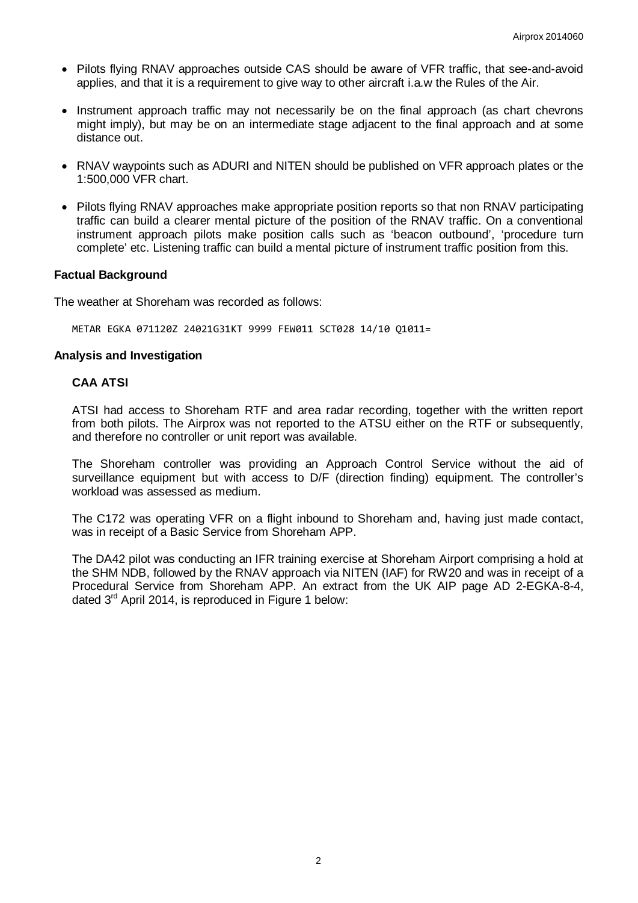- Pilots flying RNAV approaches outside CAS should be aware of VFR traffic, that see-and-avoid applies, and that it is a requirement to give way to other aircraft i.a.w the Rules of the Air.
- Instrument approach traffic may not necessarily be on the final approach (as chart chevrons might imply), but may be on an intermediate stage adjacent to the final approach and at some distance out.
- RNAV waypoints such as ADURI and NITEN should be published on VFR approach plates or the 1:500,000 VFR chart.
- Pilots flying RNAV approaches make appropriate position reports so that non RNAV participating traffic can build a clearer mental picture of the position of the RNAV traffic. On a conventional instrument approach pilots make position calls such as 'beacon outbound', 'procedure turn complete' etc. Listening traffic can build a mental picture of instrument traffic position from this.

### **Factual Background**

The weather at Shoreham was recorded as follows:

METAR EGKA 071120Z 24021G31KT 9999 FEW011 SCT028 14/10 Q1011=

### **Analysis and Investigation**

### **CAA ATSI**

ATSI had access to Shoreham RTF and area radar recording, together with the written report from both pilots. The Airprox was not reported to the ATSU either on the RTF or subsequently, and therefore no controller or unit report was available.

The Shoreham controller was providing an Approach Control Service without the aid of surveillance equipment but with access to D/F (direction finding) equipment. The controller's workload was assessed as medium.

The C172 was operating VFR on a flight inbound to Shoreham and, having just made contact, was in receipt of a Basic Service from Shoreham APP.

The DA42 pilot was conducting an IFR training exercise at Shoreham Airport comprising a hold at the SHM NDB, followed by the RNAV approach via NITEN (IAF) for RW20 and was in receipt of a Procedural Service from Shoreham APP. An extract from the UK AIP page AD 2-EGKA-8-4, dated  $3<sup>rd</sup>$  April 2014, is reproduced in Figure 1 below: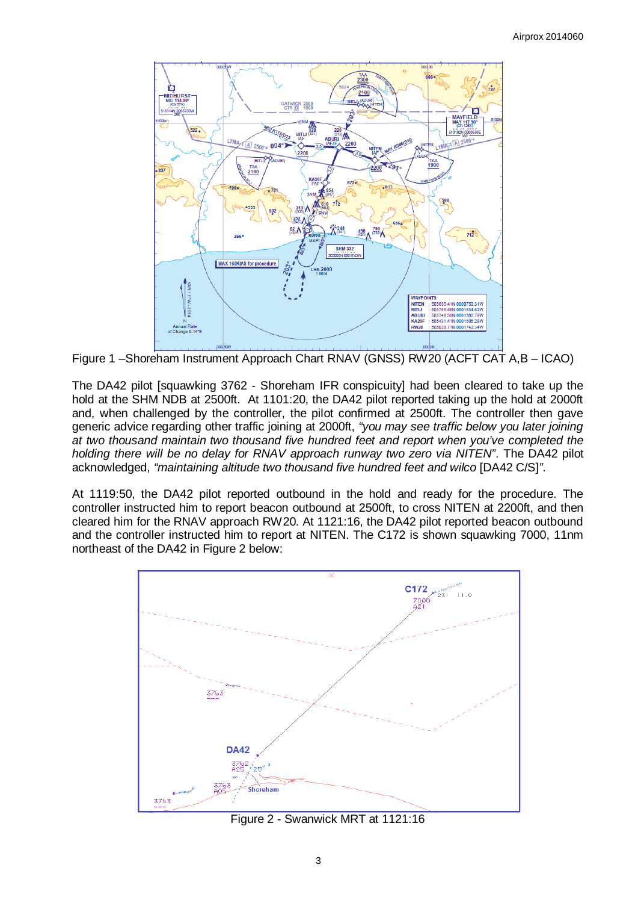

Figure 1 –Shoreham Instrument Approach Chart RNAV (GNSS) RW20 (ACFT CAT A,B – ICAO)

The DA42 pilot [squawking 3762 - Shoreham IFR conspicuity] had been cleared to take up the hold at the SHM NDB at 2500ft. At 1101:20, the DA42 pilot reported taking up the hold at 2000ft and, when challenged by the controller, the pilot confirmed at 2500ft. The controller then gave generic advice regarding other traffic joining at 2000ft, *"you may see traffic below you later joining at two thousand maintain two thousand five hundred feet and report when you've completed the holding there will be no delay for RNAV approach runway two zero via NITEN"*. The DA42 pilot acknowledged, *"maintaining altitude two thousand five hundred feet and wilco* [DA42 C/S]*"*.

At 1119:50, the DA42 pilot reported outbound in the hold and ready for the procedure. The controller instructed him to report beacon outbound at 2500ft, to cross NITEN at 2200ft, and then cleared him for the RNAV approach RW20. At 1121:16, the DA42 pilot reported beacon outbound and the controller instructed him to report at NITEN. The C172 is shown squawking 7000, 11nm northeast of the DA42 in Figure 2 below:



Figure 2 - Swanwick MRT at 1121:16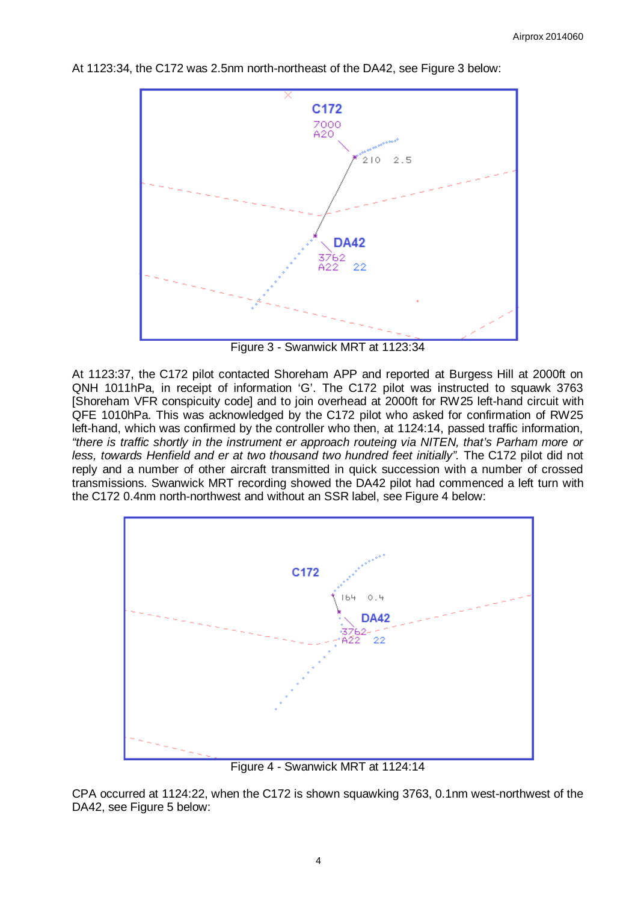

At 1123:34, the C172 was 2.5nm north-northeast of the DA42, see Figure 3 below:

Figure 3 - Swanwick MRT at 1123:34

At 1123:37, the C172 pilot contacted Shoreham APP and reported at Burgess Hill at 2000ft on QNH 1011hPa, in receipt of information 'G'. The C172 pilot was instructed to squawk 3763 [Shoreham VFR conspicuity code] and to join overhead at 2000ft for RW25 left-hand circuit with QFE 1010hPa. This was acknowledged by the C172 pilot who asked for confirmation of RW25 left-hand, which was confirmed by the controller who then, at 1124:14, passed traffic information, *"there is traffic shortly in the instrument er approach routeing via NITEN, that's Parham more or less, towards Henfield and er at two thousand two hundred feet initially".* The C172 pilot did not reply and a number of other aircraft transmitted in quick succession with a number of crossed transmissions. Swanwick MRT recording showed the DA42 pilot had commenced a left turn with the C172 0.4nm north-northwest and without an SSR label, see Figure 4 below:



Figure 4 - Swanwick MRT at 1124:14

CPA occurred at 1124:22, when the C172 is shown squawking 3763, 0.1nm west-northwest of the DA42, see Figure 5 below: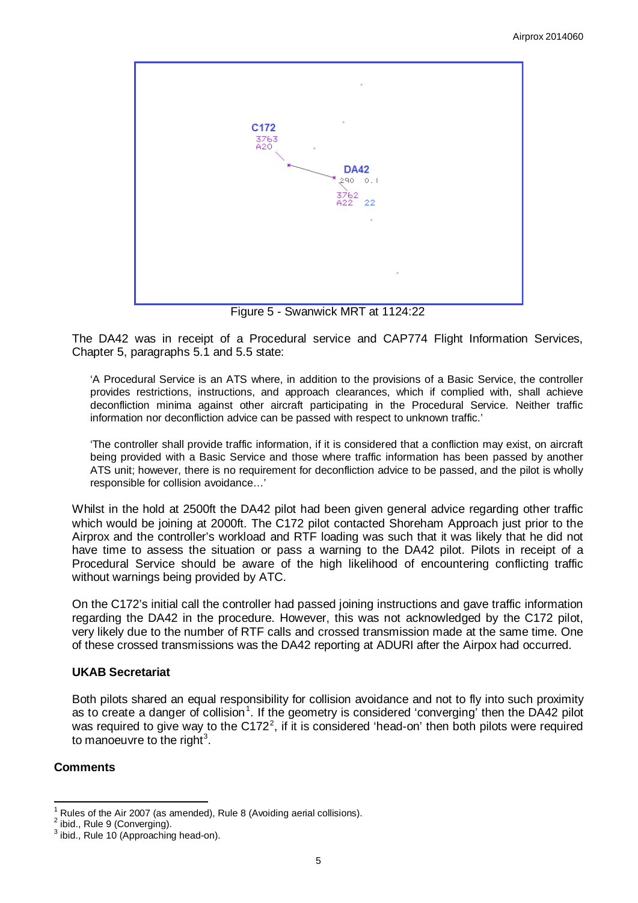

Figure 5 - Swanwick MRT at 1124:22

The DA42 was in receipt of a Procedural service and CAP774 Flight Information Services, Chapter 5, paragraphs 5.1 and 5.5 state:

'A Procedural Service is an ATS where, in addition to the provisions of a Basic Service, the controller provides restrictions, instructions, and approach clearances, which if complied with, shall achieve deconfliction minima against other aircraft participating in the Procedural Service. Neither traffic information nor deconfliction advice can be passed with respect to unknown traffic.'

'The controller shall provide traffic information, if it is considered that a confliction may exist, on aircraft being provided with a Basic Service and those where traffic information has been passed by another ATS unit; however, there is no requirement for deconfliction advice to be passed, and the pilot is wholly responsible for collision avoidance…'

Whilst in the hold at 2500ft the DA42 pilot had been given general advice regarding other traffic which would be joining at 2000ft. The C172 pilot contacted Shoreham Approach just prior to the Airprox and the controller's workload and RTF loading was such that it was likely that he did not have time to assess the situation or pass a warning to the DA42 pilot. Pilots in receipt of a Procedural Service should be aware of the high likelihood of encountering conflicting traffic without warnings being provided by ATC.

On the C172's initial call the controller had passed joining instructions and gave traffic information regarding the DA42 in the procedure. However, this was not acknowledged by the C172 pilot, very likely due to the number of RTF calls and crossed transmission made at the same time. One of these crossed transmissions was the DA42 reporting at ADURI after the Airpox had occurred.

# **UKAB Secretariat**

Both pilots shared an equal responsibility for collision avoidance and not to fly into such proximity as to create a danger of collision<sup>[1](#page-4-0)</sup>. If the geometry is considered 'converging' then the DA42 pilot was required to give way to the C17[2](#page-4-1)<sup>2</sup>, if it is considered 'head-on' then both pilots were required to manoeuvre to the right<sup>[3](#page-4-2)</sup>.

# **Comments**

<span id="page-4-0"></span><sup>&</sup>lt;sup>1</sup> Rules of the Air 2007 (as amended), Rule 8 (Avoiding aerial collisions).<br><sup>2</sup> ibid., Rule 9 (Converging).<br><sup>3</sup> ibid., Rule 10 (Approaching head-on).

<span id="page-4-1"></span>

<span id="page-4-2"></span>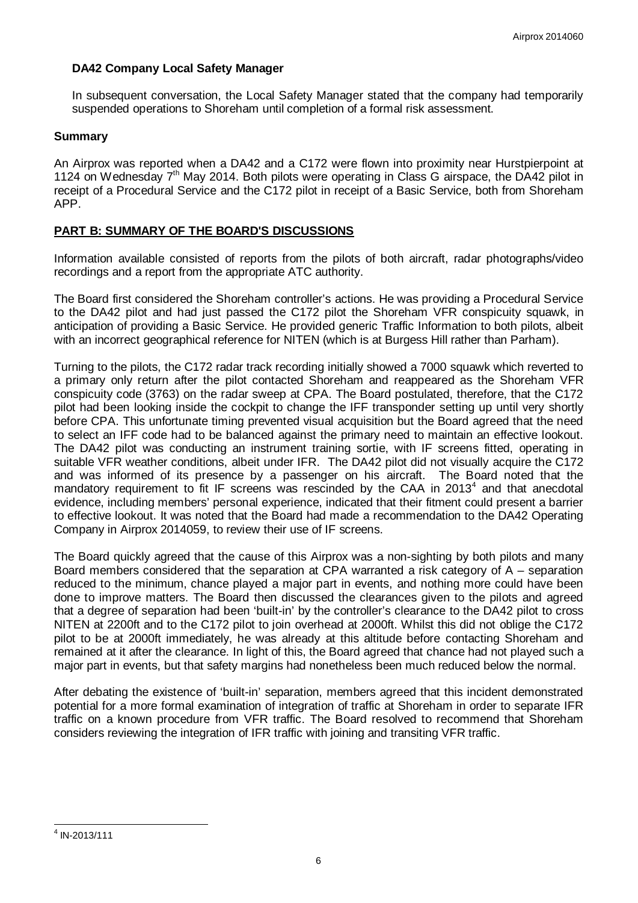# **DA42 Company Local Safety Manager**

In subsequent conversation, the Local Safety Manager stated that the company had temporarily suspended operations to Shoreham until completion of a formal risk assessment.

### **Summary**

An Airprox was reported when a DA42 and a C172 were flown into proximity near Hurstpierpoint at 1124 on Wednesday 7<sup>th</sup> May 2014. Both pilots were operating in Class G airspace, the DA42 pilot in receipt of a Procedural Service and the C172 pilot in receipt of a Basic Service, both from Shoreham APP.

# **PART B: SUMMARY OF THE BOARD'S DISCUSSIONS**

Information available consisted of reports from the pilots of both aircraft, radar photographs/video recordings and a report from the appropriate ATC authority.

The Board first considered the Shoreham controller's actions. He was providing a Procedural Service to the DA42 pilot and had just passed the C172 pilot the Shoreham VFR conspicuity squawk, in anticipation of providing a Basic Service. He provided generic Traffic Information to both pilots, albeit with an incorrect geographical reference for NITEN (which is at Burgess Hill rather than Parham).

Turning to the pilots, the C172 radar track recording initially showed a 7000 squawk which reverted to a primary only return after the pilot contacted Shoreham and reappeared as the Shoreham VFR conspicuity code (3763) on the radar sweep at CPA. The Board postulated, therefore, that the C172 pilot had been looking inside the cockpit to change the IFF transponder setting up until very shortly before CPA. This unfortunate timing prevented visual acquisition but the Board agreed that the need to select an IFF code had to be balanced against the primary need to maintain an effective lookout. The DA42 pilot was conducting an instrument training sortie, with IF screens fitted, operating in suitable VFR weather conditions, albeit under IFR. The DA42 pilot did not visually acquire the C172 and was informed of its presence by a passenger on his aircraft. The Board noted that the mandatory requirement to fit IF screens was rescinded by the CAA in  $2013<sup>4</sup>$  $2013<sup>4</sup>$  $2013<sup>4</sup>$  and that anecdotal evidence, including members' personal experience, indicated that their fitment could present a barrier to effective lookout. It was noted that the Board had made a recommendation to the DA42 Operating Company in Airprox 2014059, to review their use of IF screens.

The Board quickly agreed that the cause of this Airprox was a non-sighting by both pilots and many Board members considered that the separation at CPA warranted a risk category of A – separation reduced to the minimum, chance played a major part in events, and nothing more could have been done to improve matters. The Board then discussed the clearances given to the pilots and agreed that a degree of separation had been 'built-in' by the controller's clearance to the DA42 pilot to cross NITEN at 2200ft and to the C172 pilot to join overhead at 2000ft. Whilst this did not oblige the C172 pilot to be at 2000ft immediately, he was already at this altitude before contacting Shoreham and remained at it after the clearance. In light of this, the Board agreed that chance had not played such a major part in events, but that safety margins had nonetheless been much reduced below the normal.

After debating the existence of 'built-in' separation, members agreed that this incident demonstrated potential for a more formal examination of integration of traffic at Shoreham in order to separate IFR traffic on a known procedure from VFR traffic. The Board resolved to recommend that Shoreham considers reviewing the integration of IFR traffic with joining and transiting VFR traffic.

<span id="page-5-0"></span> $4$  IN-2013/111